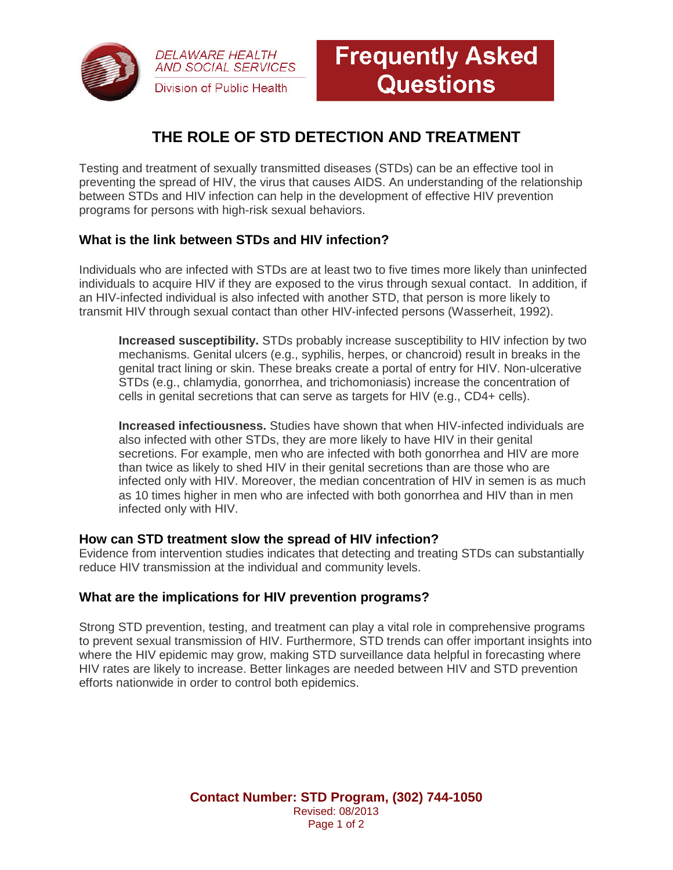



## **THE ROLE OF STD DETECTION AND TREATMENT**

Testing and treatment of sexually transmitted diseases (STDs) can be an effective tool in preventing the spread of HIV, the virus that causes AIDS. An understanding of the relationship between STDs and HIV infection can help in the development of effective HIV prevention programs for persons with high-risk sexual behaviors.

## **What is the link between STDs and HIV infection?**

Individuals who are infected with STDs are at least two to five times more likely than uninfected individuals to acquire HIV if they are exposed to the virus through sexual contact. In addition, if an HIV-infected individual is also infected with another STD, that person is more likely to transmit HIV through sexual contact than other HIV-infected persons (Wasserheit, 1992).

**Increased susceptibility.** STDs probably increase susceptibility to HIV infection by two mechanisms. Genital ulcers (e.g., syphilis, herpes, or chancroid) result in breaks in the genital tract lining or skin. These breaks create a portal of entry for HIV. Non-ulcerative STDs (e.g., chlamydia, gonorrhea, and trichomoniasis) increase the concentration of cells in genital secretions that can serve as targets for HIV (e.g., CD4+ cells).

**Increased infectiousness.** Studies have shown that when HIV-infected individuals are also infected with other STDs, they are more likely to have HIV in their genital secretions. For example, men who are infected with both gonorrhea and HIV are more than twice as likely to shed HIV in their genital secretions than are those who are infected only with HIV. Moreover, the median concentration of HIV in semen is as much as 10 times higher in men who are infected with both gonorrhea and HIV than in men infected only with HIV.

## **How can STD treatment slow the spread of HIV infection?**

Evidence from intervention studies indicates that detecting and treating STDs can substantially reduce HIV transmission at the individual and community levels.

## **What are the implications for HIV prevention programs?**

Strong STD prevention, testing, and treatment can play a vital role in comprehensive programs to prevent sexual transmission of HIV. Furthermore, STD trends can offer important insights into where the HIV epidemic may grow, making STD surveillance data helpful in forecasting where HIV rates are likely to increase. Better linkages are needed between HIV and STD prevention efforts nationwide in order to control both epidemics.